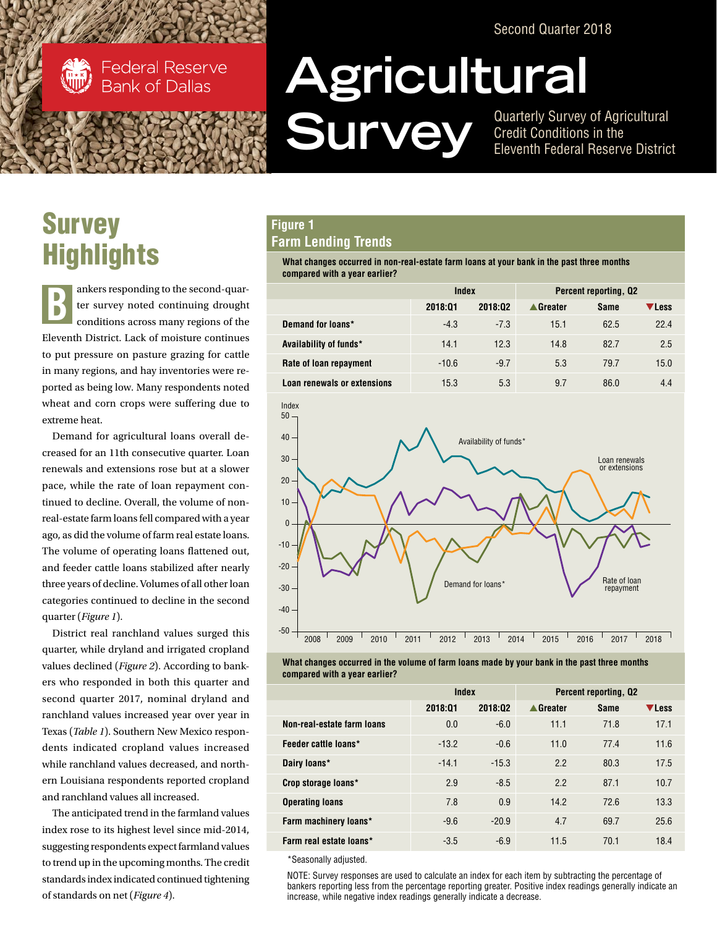Second Quarter 2018



**Federal Reserve Bank of Dallas** 

# **Survey Highlights**

ankers responding to the second-quarter survey noted continuing drought conditions across many regions of the Eleventh District. Lack of moisture continues to put pressure on pasture grazing for cattle in many regions, and hay inventories were reported as being low. Many respondents noted wheat and corn crops were suffering due to extreme heat. B

Demand for agricultural loans overall decreased for an 11th consecutive quarter. Loan renewals and extensions rose but at a slower pace, while the rate of loan repayment continued to decline. Overall, the volume of nonreal-estate farm loans fell compared with a year ago, as did the volume of farm real estate loans. The volume of operating loans flattened out, and feeder cattle loans stabilized after nearly three years of decline. Volumes of all other loan categories continued to decline in the second quarter (*Figure 1*).

District real ranchland values surged this quarter, while dryland and irrigated cropland values declined (*Figure 2*). According to bankers who responded in both this quarter and second quarter 2017, nominal dryland and ranchland values increased year over year in Texas (*Table 1*). Southern New Mexico respondents indicated cropland values increased while ranchland values decreased, and northern Louisiana respondents reported cropland and ranchland values all increased.

The anticipated trend in the farmland values index rose to its highest level since mid-2014, suggesting respondents expect farmland values to trend up in the upcoming months. The credit standards index indicated continued tightening of standards on net (*Figure 4*).

# **Agricultural Survey** of Agricultural<br> **Survey** of Agricultural<br>
Fleventh Federal Reserve District

Credit Conditions in the Eleventh Federal Reserve District

## **Figure 1 Farm Lending Trends**

**What changes occurred in non-real-estate farm loans at your bank in the past three months compared with a year earlier?**

|                             | Index   |         | <b>Percent reporting, Q2</b> |             |       |
|-----------------------------|---------|---------|------------------------------|-------------|-------|
|                             | 2018:01 | 2018:02 | ▲ Greater                    | <b>Same</b> | ▼Less |
| Demand for loans*           | $-4.3$  | $-7.3$  | 15.1                         | 62.5        | 22.4  |
| Availability of funds*      | 14.1    | 12.3    | 14.8                         | 82.7        | 2.5   |
| Rate of loan repayment      | $-10.6$ | $-9.7$  | 5.3                          | 79.7        | 15.0  |
| Loan renewals or extensions | 15.3    | 5.3     | 9.7                          | 86.0        | 4.4   |



**What changes occurred in the volume of farm loans made by your bank in the past three months compared with a year earlier?**

|                            | Index   |         | <b>Percent reporting, Q2</b> |             |              |
|----------------------------|---------|---------|------------------------------|-------------|--------------|
|                            | 2018:01 | 2018:02 | ▲ Greater                    | <b>Same</b> | <b>VLess</b> |
| Non-real-estate farm loans | 0.0     | $-6.0$  | 11.1                         | 71.8        | 17.1         |
| Feeder cattle loans*       | $-13.2$ | $-0.6$  | 11.0                         | 77.4        | 11.6         |
| Dairy loans*               | $-14.1$ | $-15.3$ | 2.2                          | 80.3        | 17.5         |
| Crop storage loans*        | 2.9     | $-8.5$  | 2.2                          | 87.1        | 10.7         |
| <b>Operating loans</b>     | 7.8     | 0.9     | 14.2                         | 72.6        | 13.3         |
| Farm machinery loans*      | $-9.6$  | $-20.9$ | 4.7                          | 69.7        | 25.6         |
| Farm real estate loans*    | $-3.5$  | $-6.9$  | 11.5                         | 70.1        | 18.4         |

\*Seasonally adjusted.

NOTE: Survey responses are used to calculate an index for each item by subtracting the percentage of bankers reporting less from the percentage reporting greater. Positive index readings generally indicate an increase, while negative index readings generally indicate a decrease.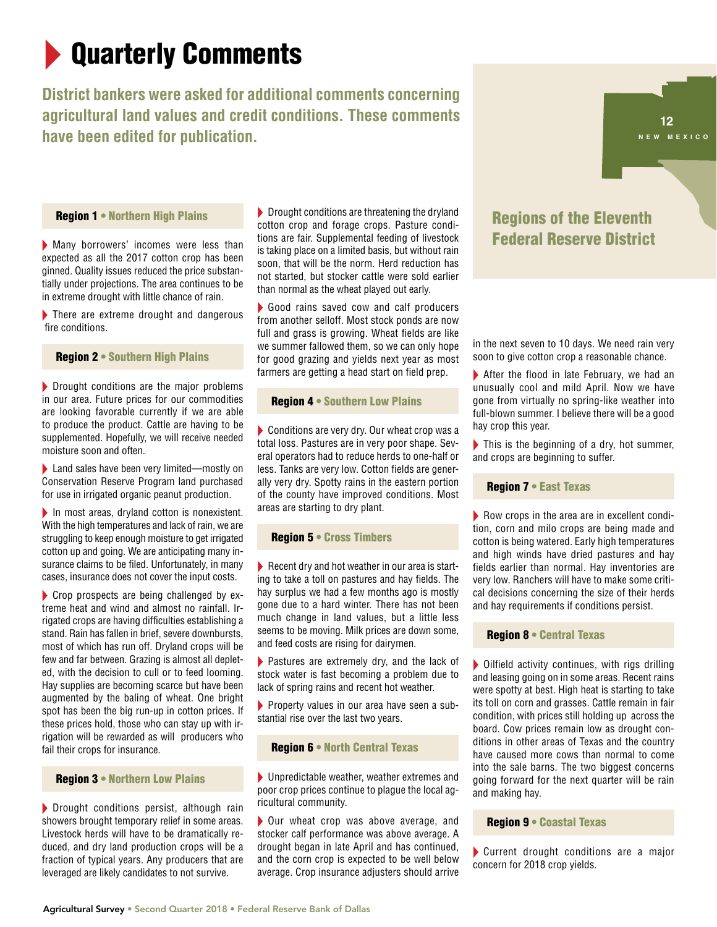# **Quarterly Comments**

# **District bankers were asked for additional comments concerning agricultural land values and credit conditions. These comments have been edited for publication.**

Region 1 • Northern High Plains

<sup>X</sup> Many borrowers' incomes were less than expected as all the 2017 cotton crop has been ginned. Quality issues reduced the price substantially under projections. The area continues to be in extreme drought with little chance of rain.

 $\blacktriangleright$  There are extreme drought and dangerous fire conditions.

#### Region 2 • Southern High Plains

 $\blacktriangleright$  Drought conditions are the major problems in our area. Future prices for our commodities are looking favorable currently if we are able to produce the product. Cattle are having to be supplemented. Hopefully, we will receive needed moisture soon and often.

▶ Land sales have been very limited—mostly on Conservation Reserve Program land purchased for use in irrigated organic peanut production.

 $\blacktriangleright$  In most areas, dryland cotton is nonexistent. With the high temperatures and lack of rain, we are struggling to keep enough moisture to get irrigated cotton up and going. We are anticipating many insurance claims to be filed. Unfortunately, in many cases, insurance does not cover the input costs.

 $\triangleright$  Crop prospects are being challenged by extreme heat and wind and almost no rainfall. Irrigated crops are having difficulties establishing a stand. Rain has fallen in brief, severe downbursts, most of which has run off. Dryland crops will be few and far between. Grazing is almost all depleted, with the decision to cull or to feed looming. Hay supplies are becoming scarce but have been augmented by the baling of wheat. One bright spot has been the big run-up in cotton prices. If these prices hold, those who can stay up with irrigation will be rewarded as will producers who fail their crops for insurance.

#### Region 3 • Northern Low Plains

 $\blacktriangleright$  Drought conditions persist, although rain showers brought temporary relief in some areas. Livestock herds will have to be dramatically reduced, and dry land production crops will be a fraction of typical years. Any producers that are leveraged are likely candidates to not survive.

 $\blacktriangleright$  Drought conditions are threatening the dryland cotton crop and forage crops. Pasture conditions are fair. Supplemental feeding of livestock is taking place on a limited basis, but without rain soon, that will be the norm. Herd reduction has not started, but stocker cattle were sold earlier than normal as the wheat played out early.

Good rains saved cow and calf producers from another selloff. Most stock ponds are now full and grass is growing. Wheat fields are like we summer fallowed them, so we can only hope for good grazing and yields next year as most farmers are getting a head start on field prep.

#### **Region 4 • Southern Low Plains**

 $\blacktriangleright$  Conditions are very dry. Our wheat crop was a total loss. Pastures are in very poor shape. Several operators had to reduce herds to one-half or less. Tanks are very low. Cotton fields are generally very dry. Spotty rains in the eastern portion of the county have improved conditions. Most areas are starting to dry plant.

#### Region 5 • Cross Timbers

 $\blacktriangleright$  Recent dry and hot weather in our area is starting to take a toll on pastures and hay fields. The hay surplus we had a few months ago is mostly gone due to a hard winter. There has not been much change in land values, but a little less seems to be moving. Milk prices are down some, and feed costs are rising for dairymen.

 $\blacktriangleright$  Pastures are extremely dry, and the lack of stock water is fast becoming a problem due to lack of spring rains and recent hot weather.

Property values in our area have seen a substantial rise over the last two years.

#### Region 6 • North Central Texas

 $\blacktriangleright$  Unpredictable weather, weather extremes and poor crop prices continue to plague the local agricultural community.

 $\triangleright$  Our wheat crop was above average, and stocker calf performance was above average. A drought began in late April and has continued, and the corn crop is expected to be well below average. Crop insurance adjusters should arrive

# Regions of the Eleventh Federal Reserve District

**12**

**<sup>4</sup> <sup>5</sup> L O <sup>U</sup> ISIANA NEW MEXICO**

in the next seven to 10 days. We need rain very soon to give cotton crop a reasonable chance.

 $\blacktriangleright$  After the flood in late February, we had an unusually cool and mild April. Now we have gone from virtually no spring-like weather into full-blown summer. I believe there will be a good hay crop this year.

 $\blacktriangleright$  This is the beginning of a dry, hot summer, and crops are beginning to suffer.

#### Region 7 • East Texas

 $\blacktriangleright$  Row crops in the area are in excellent condition, corn and milo crops are being made and cotton is being watered. Early high temperatures and high winds have dried pastures and hay fields earlier than normal. Hay inventories are very low. Ranchers will have to make some critical decisions concerning the size of their herds and hay requirements if conditions persist.

#### Region 8 • Central Texas

 $\triangleright$  Oilfield activity continues, with rigs drilling and leasing going on in some areas. Recent rains were spotty at best. High heat is starting to take its toll on corn and grasses. Cattle remain in fair condition, with prices still holding up across the board. Cow prices remain low as drought conditions in other areas of Texas and the country have caused more cows than normal to come into the sale barns. The two biggest concerns going forward for the next quarter will be rain and making hay.

#### Region 9 • Coastal Texas

 $\blacktriangleright$  Current drought conditions are a major concern for 2018 crop yields.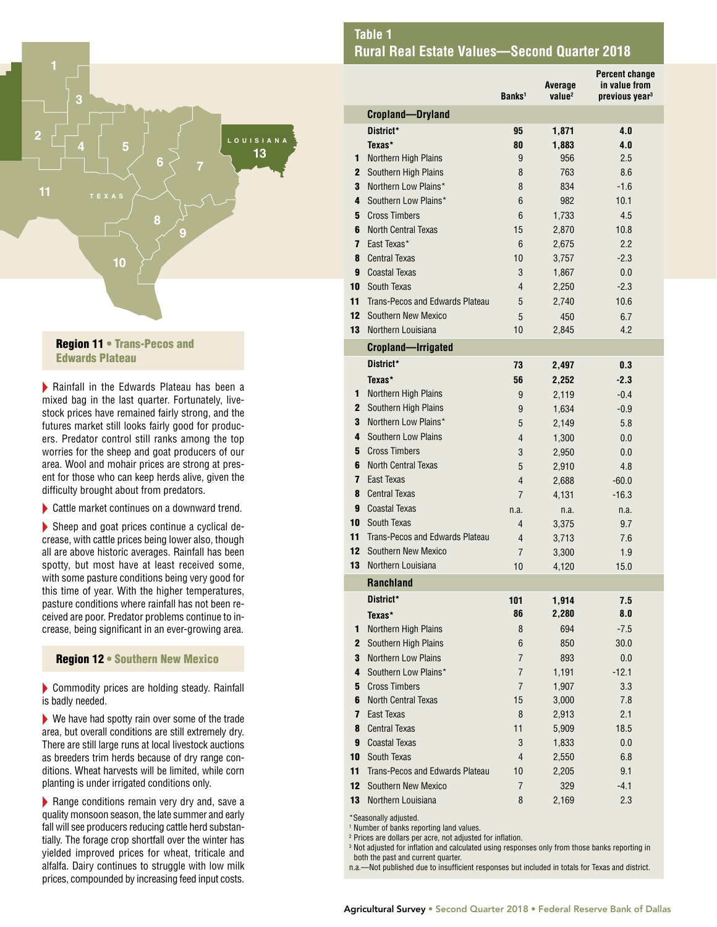

#### Region 11 • Trans-Pecos and Edwards Plateau

 $\blacktriangleright$  Rainfall in the Edwards Plateau has been a mixed bag in the last quarter. Fortunately, livestock prices have remained fairly strong, and the futures market still looks fairly good for producers. Predator control still ranks among the top worries for the sheep and goat producers of our area. Wool and mohair prices are strong at present for those who can keep herds alive, given the difficulty brought about from predators.

 $\blacktriangleright$  Cattle market continues on a downward trend.

 $\blacktriangleright$  Sheep and goat prices continue a cyclical decrease, with cattle prices being lower also, though all are above historic averages. Rainfall has been spotty, but most have at least received some, with some pasture conditions being very good for this time of year. With the higher temperatures, pasture conditions where rainfall has not been received are poor. Predator problems continue to increase, being significant in an ever-growing area.

#### Region 12 • Southern New Mexico

 $\blacktriangleright$  Commodity prices are holding steady. Rainfall is badly needed.

 $\blacktriangleright$  We have had spotty rain over some of the trade area, but overall conditions are still extremely dry. There are still large runs at local livestock auctions as breeders trim herds because of dry range conditions. Wheat harvests will be limited, while corn planting is under irrigated conditions only.

 $\blacktriangleright$  Range conditions remain very dry and, save a quality monsoon season, the late summer and early fall will see producers reducing cattle herd substantially. The forage crop shortfall over the winter has yielded improved prices for wheat, triticale and alfalfa. Dairy continues to struggle with low milk prices, compounded by increasing feed input costs.

|                         |                                        | Banks <sup>1</sup> | Average<br>value <sup>2</sup> | <b>Percent change</b><br>in value from<br>previous year <sup>3</sup> |
|-------------------------|----------------------------------------|--------------------|-------------------------------|----------------------------------------------------------------------|
|                         | <b>Cropland-Dryland</b>                |                    |                               |                                                                      |
|                         | District*                              | 95                 | 1,871                         | 4.0                                                                  |
|                         | Texas*                                 | 80                 | 1,883                         | 4.0                                                                  |
| 1                       | Northern High Plains                   | 9                  | 956                           | 2.5                                                                  |
| $\mathbf{2}$            | Southern High Plains                   | 8                  | 763                           | 8.6                                                                  |
| 3                       | Northern Low Plains*                   | 8                  | 834                           | $-1.6$                                                               |
| 4                       | Southern Low Plains*                   | 6                  | 982                           | 10.1                                                                 |
| 5                       | <b>Cross Timbers</b>                   | 6                  | 1,733                         | 4.5                                                                  |
| 6                       | <b>North Central Texas</b>             | 15                 | 2,870                         | 10.8                                                                 |
| $\overline{\mathbf{z}}$ | East Texas*                            | 6                  | 2,675                         | 2.2                                                                  |
| 8                       | <b>Central Texas</b>                   | 10                 | 3,757                         | $-2.3$                                                               |
| 9                       | <b>Coastal Texas</b>                   | 3                  | 1,867                         | 0.0                                                                  |
| 10                      | South Texas                            | 4                  | 2,250                         | $-2.3$                                                               |
| 11                      | Trans-Pecos and Edwards Plateau        | 5                  | 2,740                         | 10.6                                                                 |
| 12                      | Southern New Mexico                    | 5                  | 450                           | 6.7                                                                  |
| 13                      | Northern Louisiana                     | 10                 | 2,845                         | 4.2                                                                  |
|                         | <b>Cropland-Irrigated</b>              |                    |                               |                                                                      |
|                         | District*                              | 73                 | 2,497                         | 0.3                                                                  |
|                         | Texas*                                 | 56                 | 2,252                         | $-2.3$                                                               |
| 1                       | Northern High Plains                   | 9                  | 2,119                         | $-0.4$                                                               |
| 2                       | Southern High Plains                   | 9                  | 1,634                         | $-0.9$                                                               |
| 3                       | Northern Low Plains*                   | 5                  | 2,149                         | 5.8                                                                  |
| 4                       | <b>Southern Low Plains</b>             | 4                  | 1,300                         | 0.0                                                                  |
| 5                       | <b>Cross Timbers</b>                   | 3                  | 2,950                         | 0.0                                                                  |
| 6                       | <b>North Central Texas</b>             | 5                  | 2,910                         | 4.8                                                                  |
| 7                       | East Texas                             | 4                  | 2,688                         | $-60.0$                                                              |
| 8                       | <b>Central Texas</b>                   | 7                  | 4,131                         | $-16.3$                                                              |
| 9                       | <b>Coastal Texas</b>                   | n.a.               | n.a.                          | n.a.                                                                 |
| 10                      | South Texas                            | 4                  | 3,375                         | 9.7                                                                  |
| 11                      | Trans-Pecos and Edwards Plateau        | 4                  | 3,713                         | 7.6                                                                  |
| 12                      | <b>Southern New Mexico</b>             | 7                  | 3,300                         | 1.9                                                                  |
| 13                      | Northern Louisiana                     | 10                 | 4,120                         | 15.0                                                                 |
|                         | <b>Ranchland</b>                       |                    |                               |                                                                      |
|                         | District*                              | 101                | 1,914                         | 7.5                                                                  |
|                         | Texas*                                 | 86                 | 2,280                         | 8.0                                                                  |
| 1                       | Northern High Plains                   | 8                  | 694                           | $-7.5$                                                               |
| $\mathbf{2}$            | Southern High Plains                   | 6                  | 850                           | 30.0                                                                 |
| 3                       | Northern Low Plains                    | $\overline{7}$     | 893                           | 0.0                                                                  |
| 4                       | Southern Low Plains*                   | $\overline{7}$     | 1,191                         | $-12.1$                                                              |
| 5                       | <b>Cross Timbers</b>                   | $\overline{7}$     | 1,907                         | 3.3                                                                  |
| 6                       | <b>North Central Texas</b>             | 15                 | 3,000                         | 7.8                                                                  |
| 7                       | East Texas                             | 8                  | 2,913                         | 2.1                                                                  |
| 8                       | <b>Central Texas</b>                   | 11                 | 5,909                         | 18.5                                                                 |
| 9                       | <b>Coastal Texas</b>                   | 3                  | 1,833                         | 0.0                                                                  |
| 10                      | South Texas                            | 4                  | 2,550                         | 6.8                                                                  |
| 11                      | <b>Trans-Pecos and Edwards Plateau</b> | 10                 | 2,205                         | 9.1                                                                  |
| 12                      | <b>Southern New Mexico</b>             | $\overline{7}$     | 329                           | $-4.1$                                                               |
| 13                      | Northern Louisiana                     | 8                  | 2,169                         | 2.3                                                                  |

\*Seasonally adjusted.

1 Number of banks reporting land values.

2 Prices are dollars per acre, not adjusted for inflation.

 $\,^3$  Not adjusted for inflation and calculated using responses only from those banks reporting in both the past and current quarter.

n.a.—Not published due to insufficient responses but included in totals for Texas and district.

## **Table 1 Rural Real Estate Values—Second Quarter 2018**